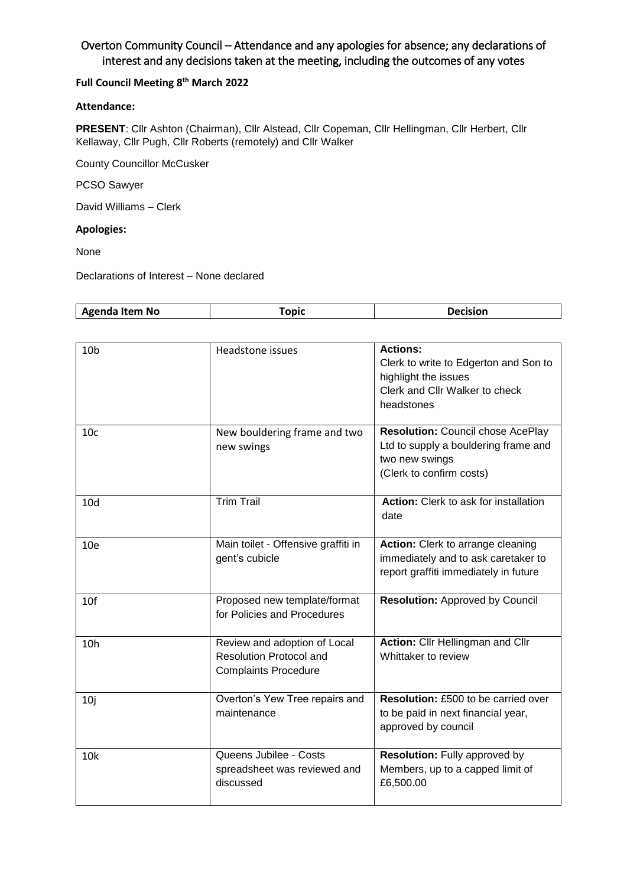# Overton Community Council – Attendance and any apologies for absence; any declarations of interest and any decisions taken at the meeting, including the outcomes of any votes

### **Full Council Meeting 8 th March 2022**

### **Attendance:**

**PRESENT**: Cllr Ashton (Chairman), Cllr Alstead, Cllr Copeman, Cllr Hellingman, Cllr Herbert, Cllr Kellaway, Cllr Pugh, Cllr Roberts (remotely) and Cllr Walker

County Councillor McCusker

PCSO Sawyer

David Williams – Clerk

#### **Apologies:**

None

Declarations of Interest – None declared

|  | Agenda Item<br>No. | nni | $\cdots$ |
|--|--------------------|-----|----------|
|--|--------------------|-----|----------|

| 10 <sub>b</sub> | Headstone issues                                                                              | <b>Actions:</b><br>Clerk to write to Edgerton and Son to<br>highlight the issues<br>Clerk and Cllr Walker to check<br>headstones |
|-----------------|-----------------------------------------------------------------------------------------------|----------------------------------------------------------------------------------------------------------------------------------|
| 10 <sub>c</sub> | New bouldering frame and two<br>new swings                                                    | <b>Resolution: Council chose AcePlay</b><br>Ltd to supply a bouldering frame and<br>two new swings<br>(Clerk to confirm costs)   |
| 10 <sub>d</sub> | <b>Trim Trail</b>                                                                             | Action: Clerk to ask for installation<br>date                                                                                    |
| 10 <sub>e</sub> | Main toilet - Offensive graffiti in<br>gent's cubicle                                         | Action: Clerk to arrange cleaning<br>immediately and to ask caretaker to<br>report graffiti immediately in future                |
| 10f             | Proposed new template/format<br>for Policies and Procedures                                   | <b>Resolution: Approved by Council</b>                                                                                           |
| 10h             | Review and adoption of Local<br><b>Resolution Protocol and</b><br><b>Complaints Procedure</b> | Action: Cllr Hellingman and Cllr<br>Whittaker to review                                                                          |
| 10j             | Overton's Yew Tree repairs and<br>maintenance                                                 | Resolution: £500 to be carried over<br>to be paid in next financial year,<br>approved by council                                 |
| 10 <sub>k</sub> | Queens Jubilee - Costs<br>spreadsheet was reviewed and<br>discussed                           | <b>Resolution: Fully approved by</b><br>Members, up to a capped limit of<br>£6,500.00                                            |